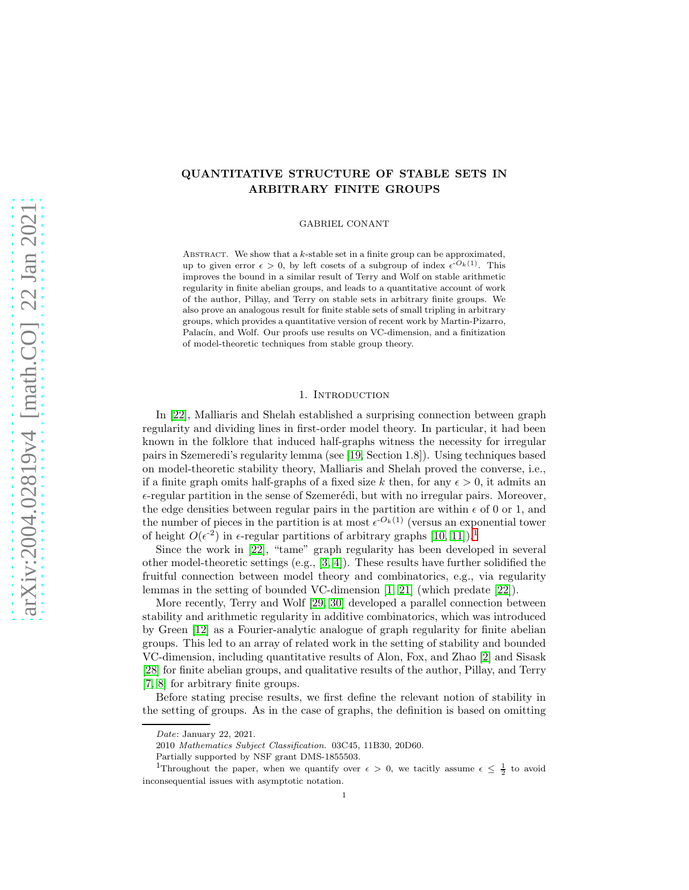# QUANTITATIVE STRUCTURE OF STABLE SETS IN ARBITRARY FINITE GROUPS

GABRIEL CONANT

ABSTRACT. We show that a  $k$ -stable set in a finite group can be approximated, up to given error  $\epsilon > 0$ , by left cosets of a subgroup of index  $\epsilon^{-O_k(1)}$ . This improves the bound in a similar result of Terry and Wolf on stable arithmetic regularity in finite abelian groups, and leads to a quantitative account of work of the author, Pillay, and Terry on stable sets in arbitrary finite groups. We also prove an analogous result for finite stable sets of small tripling in arbitrary groups, which provides a quantitative version of recent work by Martin-Pizarro, Palacín, and Wolf. Our proofs use results on VC-dimension, and a finitization of model-theoretic techniques from stable group theory.

# 1. INTRODUCTION

In [\[22\]](#page-13-0), Malliaris and Shelah established a surprising connection between graph regularity and dividing lines in first-order model theory. In particular, it had been known in the folklore that induced half-graphs witness the necessity for irregular pairs in Szemeredi's regularity lemma (see [\[19,](#page-12-0) Section 1.8]). Using techniques based on model-theoretic stability theory, Malliaris and Shelah proved the converse, i.e., if a finite graph omits half-graphs of a fixed size k then, for any  $\epsilon > 0$ , it admits an  $\epsilon$ -regular partition in the sense of Szemerédi, but with no irregular pairs. Moreover, the edge densities between regular pairs in the partition are within  $\epsilon$  of 0 or 1, and the number of pieces in the partition is at most  $\epsilon^{-O_k(1)}$  (versus an exponential tower of height  $O(\epsilon^2)$  in  $\epsilon$ -regular partitions of arbitrary graphs [\[10,](#page-12-1) [11\]](#page-12-2)).<sup>[1](#page-0-0)</sup>

Since the work in [\[22\]](#page-13-0), "tame" graph regularity has been developed in several other model-theoretic settings (e.g., [\[3,](#page-12-3) [4\]](#page-12-4)). These results have further solidified the fruitful connection between model theory and combinatorics, e.g., via regularity lemmas in the setting of bounded VC-dimension [\[1,](#page-12-5) [21\]](#page-13-1) (which predate [\[22\]](#page-13-0)).

More recently, Terry and Wolf [\[29,](#page-13-2) [30\]](#page-13-3) developed a parallel connection between stability and arithmetic regularity in additive combinatorics, which was introduced by Green [\[12\]](#page-12-6) as a Fourier-analytic analogue of graph regularity for finite abelian groups. This led to an array of related work in the setting of stability and bounded VC-dimension, including quantitative results of Alon, Fox, and Zhao [\[2\]](#page-12-7) and Sisask [\[28\]](#page-13-4) for finite abelian groups, and qualitative results of the author, Pillay, and Terry [\[7,](#page-12-8) [8\]](#page-12-9) for arbitrary finite groups.

Before stating precise results, we first define the relevant notion of stability in the setting of groups. As in the case of graphs, the definition is based on omitting

Date: January 22, 2021.

<sup>2010</sup> Mathematics Subject Classification. 03C45, 11B30, 20D60.

Partially supported by NSF grant DMS-1855503.

<span id="page-0-0"></span><sup>&</sup>lt;sup>1</sup>Throughout the paper, when we quantify over  $\epsilon > 0$ , we tacitly assume  $\epsilon \leq \frac{1}{2}$  to avoid inconsequential issues with asymptotic notation.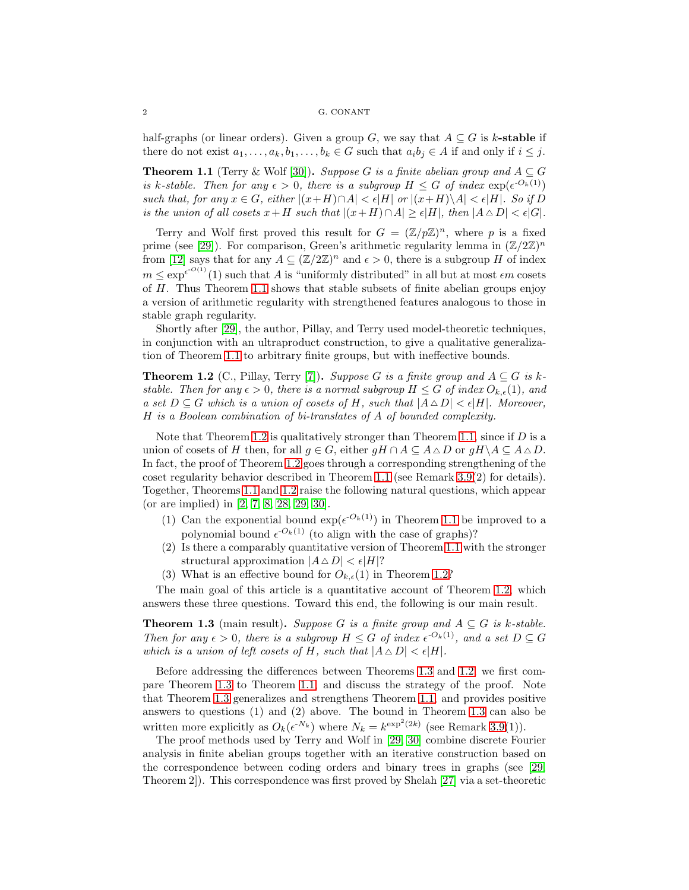half-graphs (or linear orders). Given a group G, we say that  $A \subseteq G$  is k-stable if there do not exist  $a_1, \ldots, a_k, b_1, \ldots, b_k \in G$  such that  $a_i b_j \in A$  if and only if  $i \leq j$ .

<span id="page-1-0"></span>**Theorem 1.1** (Terry & Wolf [\[30\]](#page-13-3)). *Suppose* G *is a finite abelian group and*  $A \subseteq G$ *is* k-stable. Then for any  $\epsilon > 0$ , there is a subgroup  $H \leq G$  of index  $\exp(\epsilon^{-O_k(1)})$ *such that, for any*  $x \in G$ *, either*  $|(x+H) \cap A| \leq \epsilon |H|$  *or*  $|(x+H) \setminus A| \leq \epsilon |H|$ *. So if* D *is the union of all cosets*  $x+H$  *such that*  $|(x+H)\cap A| \geq \epsilon |H|$ *, then*  $|A \triangle D| < \epsilon |G|$ *.* 

Terry and Wolf first proved this result for  $G = (\mathbb{Z}/p\mathbb{Z})^n$ , where p is a fixed prime (see [\[29\]](#page-13-2)). For comparison, Green's arithmetic regularity lemma in  $(\mathbb{Z}/2\mathbb{Z})^n$ from [\[12\]](#page-12-6) says that for any  $A \subseteq (\mathbb{Z}/2\mathbb{Z})^n$  and  $\epsilon > 0$ , there is a subgroup H of index  $m \leq \exp^{\epsilon O(1)}(1)$  such that A is "uniformly distributed" in all but at most  $\epsilon m$  cosets of H. Thus Theorem [1.1](#page-1-0) shows that stable subsets of finite abelian groups enjoy a version of arithmetic regularity with strengthened features analogous to those in stable graph regularity.

Shortly after [\[29\]](#page-13-2), the author, Pillay, and Terry used model-theoretic techniques, in conjunction with an ultraproduct construction, to give a qualitative generalization of Theorem [1.1](#page-1-0) to arbitrary finite groups, but with ineffective bounds.

<span id="page-1-1"></span>**Theorem 1.2** (C., Pillay, Terry [\[7\]](#page-12-8)). *Suppose* G *is a finite group and*  $A \subseteq G$  *is*  $k$ *stable. Then for any*  $\epsilon > 0$ *, there is a normal subgroup*  $H \leq G$  *of index*  $O_{k,\epsilon}(1)$ *, and a set*  $D \subseteq G$  *which is a union of cosets of* H, such that  $|A \triangle D| < \epsilon |H|$ *. Moreover,* H *is a Boolean combination of bi-translates of* A *of bounded complexity.*

Note that Theorem [1.2](#page-1-1) is qualitatively stronger than Theorem [1.1,](#page-1-0) since if  $D$  is a union of cosets of H then, for all  $q \in G$ , either  $qH \cap A \subseteq A \triangle D$  or  $qH \setminus A \subseteq A \triangle D$ . In fact, the proof of Theorem [1.2](#page-1-1) goes through a corresponding strengthening of the coset regularity behavior described in Theorem [1.1](#page-1-0) (see Remark [3.9\(](#page-7-0)2) for details). Together, Theorems [1.1](#page-1-0) and [1.2](#page-1-1) raise the following natural questions, which appear (or are implied) in [\[2,](#page-12-7) [7,](#page-12-8) [8,](#page-12-9) [28,](#page-13-4) [29,](#page-13-2) [30\]](#page-13-3).

- (1) Can the exponential bound  $\exp(\epsilon^{-O_k(1)})$  in Theorem [1.1](#page-1-0) be improved to a polynomial bound  $\epsilon^{-O_k(1)}$  (to align with the case of graphs)?
- (2) Is there a comparably quantitative version of Theorem [1.1](#page-1-0) with the stronger structural approximation  $|A \triangle D| < \epsilon |H|$ ?
- (3) What is an effective bound for  $O_{k,\epsilon}(1)$  in Theorem [1.2?](#page-1-1)

The main goal of this article is a quantitative account of Theorem [1.2,](#page-1-1) which answers these three questions. Toward this end, the following is our main result.

<span id="page-1-2"></span>**Theorem 1.3** (main result). *Suppose* G *is a finite group and*  $A \subseteq G$  *is k-stable. Then for any*  $\epsilon > 0$ *, there is a subgroup*  $H \leq G$  *of index*  $\epsilon^{-O_k(1)}$ *, and a set*  $D \subseteq G$ *which is a union of left cosets of*  $H$ *, such that*  $|A \triangle D| < \epsilon |H|$ *.* 

Before addressing the differences between Theorems [1.3](#page-1-2) and [1.2,](#page-1-1) we first compare Theorem [1.3](#page-1-2) to Theorem [1.1,](#page-1-0) and discuss the strategy of the proof. Note that Theorem [1.3](#page-1-2) generalizes and strengthens Theorem [1.1,](#page-1-0) and provides positive answers to questions (1) and (2) above. The bound in Theorem [1.3](#page-1-2) can also be written more explicitly as  $O_k(\epsilon^{N_k})$  where  $N_k = k^{\exp^2(2k)}$  (see Remark [3.9\(](#page-7-0)1)).

The proof methods used by Terry and Wolf in [\[29,](#page-13-2) [30\]](#page-13-3) combine discrete Fourier analysis in finite abelian groups together with an iterative construction based on the correspondence between coding orders and binary trees in graphs (see [\[29,](#page-13-2) Theorem 2]). This correspondence was first proved by Shelah [\[27\]](#page-13-5) via a set-theoretic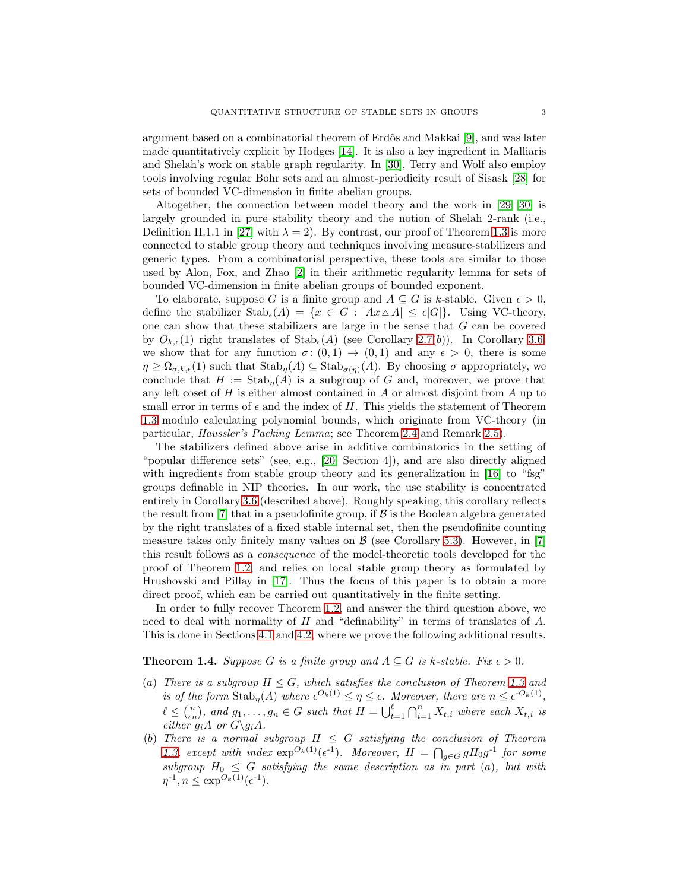argument based on a combinatorial theorem of Erdős and Makkai [\[9\]](#page-12-10), and was later made quantitatively explicit by Hodges [\[14\]](#page-12-11). It is also a key ingredient in Malliaris and Shelah's work on stable graph regularity. In [\[30\]](#page-13-3), Terry and Wolf also employ tools involving regular Bohr sets and an almost-periodicity result of Sisask [\[28\]](#page-13-4) for sets of bounded VC-dimension in finite abelian groups.

Altogether, the connection between model theory and the work in [\[29,](#page-13-2) [30\]](#page-13-3) is largely grounded in pure stability theory and the notion of Shelah 2-rank (i.e., Definition II.1.1 in [\[27\]](#page-13-5) with  $\lambda = 2$ ). By contrast, our proof of Theorem [1.3](#page-1-2) is more connected to stable group theory and techniques involving measure-stabilizers and generic types. From a combinatorial perspective, these tools are similar to those used by Alon, Fox, and Zhao [\[2\]](#page-12-7) in their arithmetic regularity lemma for sets of bounded VC-dimension in finite abelian groups of bounded exponent.

To elaborate, suppose G is a finite group and  $A \subseteq G$  is k-stable. Given  $\epsilon > 0$ , define the stabilizer  $\text{Stab}_{\epsilon}(A) = \{x \in G : |Ax \triangle A| \leq \epsilon |G|\}.$  Using VC-theory, one can show that these stabilizers are large in the sense that G can be covered by  $O_{k,\epsilon}(1)$  right translates of  $\text{Stab}_{\epsilon}(A)$  (see Corollary [2.7\(](#page-4-0)b)). In Corollary [3.6,](#page-6-0) we show that for any function  $\sigma: (0,1) \to (0,1)$  and any  $\epsilon > 0$ , there is some  $\eta \geq \Omega_{\sigma,k,\epsilon}(1)$  such that  $\text{Stab}_{\eta}(A) \subseteq \text{Stab}_{\sigma(\eta)}(A)$ . By choosing  $\sigma$  appropriately, we conclude that  $H := \text{Stab}_{\eta}(A)$  is a subgroup of G and, moreover, we prove that any left coset of  $H$  is either almost contained in  $A$  or almost disjoint from  $A$  up to small error in terms of  $\epsilon$  and the index of H. This yields the statement of Theorem [1.3](#page-1-2) modulo calculating polynomial bounds, which originate from VC-theory (in particular, *Haussler's Packing Lemma*; see Theorem [2.4](#page-4-1) and Remark [2.5\)](#page-4-2).

The stabilizers defined above arise in additive combinatorics in the setting of "popular difference sets" (see, e.g., [\[20,](#page-12-12) Section 4]), and are also directly aligned with ingredients from stable group theory and its generalization in [\[16\]](#page-12-13) to "fsg" groups definable in NIP theories. In our work, the use stability is concentrated entirely in Corollary [3.6](#page-6-0) (described above). Roughly speaking, this corollary reflects the result from [\[7\]](#page-12-8) that in a pseudofinite group, if  $\mathcal B$  is the Boolean algebra generated by the right translates of a fixed stable internal set, then the pseudofinite counting measure takes only finitely many values on  $\beta$  (see Corollary [5.3\)](#page-12-14). However, in [\[7\]](#page-12-8) this result follows as a *consequence* of the model-theoretic tools developed for the proof of Theorem [1.2,](#page-1-1) and relies on local stable group theory as formulated by Hrushovski and Pillay in [\[17\]](#page-12-15). Thus the focus of this paper is to obtain a more direct proof, which can be carried out quantitatively in the finite setting.

In order to fully recover Theorem [1.2,](#page-1-1) and answer the third question above, we need to deal with normality of  $H$  and "definability" in terms of translates of  $A$ . This is done in Sections [4.1](#page-7-1) and [4.2,](#page-9-0) where we prove the following additional results.

# <span id="page-2-0"></span>**Theorem 1.4.** *Suppose* G *is a finite group and*  $A \subseteq G$  *is k-stable. Fix*  $\epsilon > 0$ *.*

- (a) *There is a subgroup*  $H \leq G$ *, which satisfies the conclusion of Theorem [1.3](#page-1-2) and is of the form*  $\text{Stab}_{\eta}(A)$  *where*  $\epsilon^{O_k(1)} \leq \eta \leq \epsilon$ *. Moreover, there are*  $n \leq \epsilon^{O_k(1)}$ *,*  $\ell \leq {n \choose \epsilon n}$ , and  $g_1, \ldots, g_n \in G$  such that  $H = \bigcup_{t=1}^{\ell} \bigcap_{i=1}^{n} X_{t,i}$  where each  $X_{t,i}$  is *either*  $g_i A$  *or*  $G \gtrsim g_i A$ *.*
- (b) *There is a normal subgroup*  $H \leq G$  *satisfying the conclusion of Theorem* [1.3,](#page-1-2) except with index  $\exp^{O_k(1)}(\epsilon^{-1})$ . Moreover,  $H = \bigcap_{g \in G} g H_0 g^{-1}$  for some  $subgroup H_0 \leq G$  *satisfying the same description as in part* (a), but with  $\eta^{-1}, n \leq \exp^{O_k(1)}(\epsilon^{-1}).$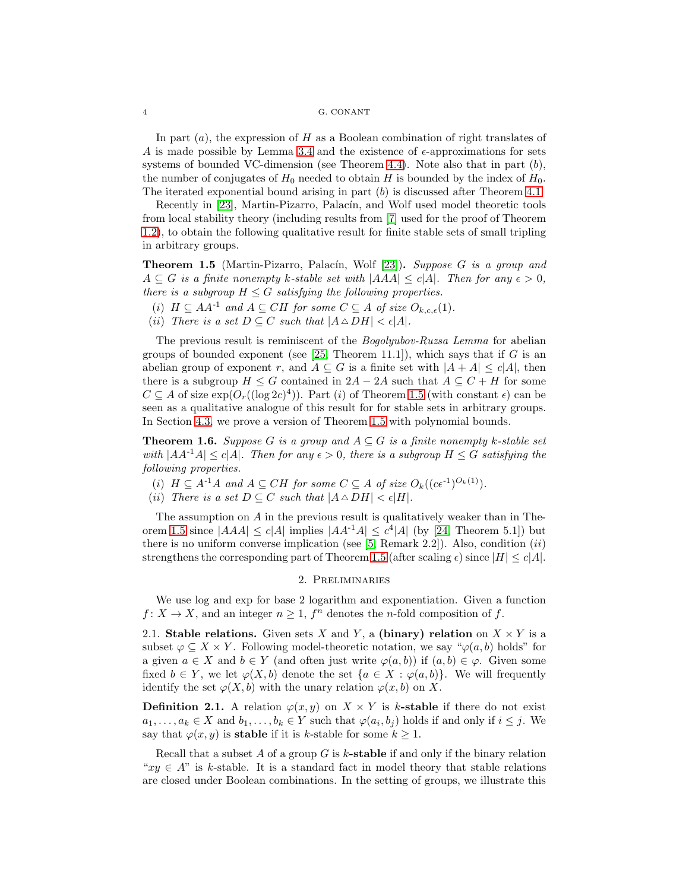In part  $(a)$ , the expression of H as a Boolean combination of right translates of A is made possible by Lemma [3.4](#page-5-0) and the existence of  $\epsilon$ -approximations for sets systems of bounded VC-dimension (see Theorem [4.4\)](#page-9-1). Note also that in part  $(b)$ , the number of conjugates of  $H_0$  needed to obtain H is bounded by the index of  $H_0$ . The iterated exponential bound arising in part  $(b)$  is discussed after Theorem [4.1.](#page-8-0)

Recently in [\[23\]](#page-13-6), Martin-Pizarro, Palacín, and Wolf used model theoretic tools from local stability theory (including results from [\[7\]](#page-12-8) used for the proof of Theorem [1.2\)](#page-1-1), to obtain the following qualitative result for finite stable sets of small tripling in arbitrary groups.

<span id="page-3-0"></span>Theorem 1.5 (Martin-Pizarro, Palac´ın, Wolf [\[23\]](#page-13-6)). *Suppose* G *is a group and*  $A \subseteq G$  *is a finite nonempty k-stable set with*  $|AAA| \leq c|A|$ *. Then for any*  $\epsilon > 0$ *, there is a subgroup*  $H \leq G$  *satisfying the following properties.* 

- (i)  $H \subseteq AA^{-1}$  and  $A \subseteq CH$  for some  $C \subseteq A$  of size  $O_{k,c,\epsilon}(1)$ .
- (ii) *There is a set*  $D \subseteq C$  *such that*  $|A \triangle D H| < \epsilon |A|$ *.*

The previous result is reminiscent of the *Bogolyubov-Ruzsa Lemma* for abelian groups of bounded exponent (see [\[25,](#page-13-7) Theorem 11.1]), which says that if  $G$  is an abelian group of exponent r, and  $A \subseteq G$  is a finite set with  $|A + A| \le c|A|$ , then there is a subgroup  $H \leq G$  contained in  $2A - 2A$  such that  $A \subseteq C + H$  for some  $C \subseteq A$  of size  $\exp(O_r((\log 2c)^4))$ . Part (i) of Theorem [1.5](#page-3-0) (with constant  $\epsilon$ ) can be seen as a qualitative analogue of this result for for stable sets in arbitrary groups. In Section [4.3,](#page-10-0) we prove a version of Theorem [1.5](#page-3-0) with polynomial bounds.

<span id="page-3-1"></span>**Theorem 1.6.** *Suppose* G *is a group and*  $A \subseteq G$  *is a finite nonempty* k-stable set *with*  $|AA^{-1}A| \leq c|A|$ *. Then for any*  $\epsilon > 0$ *, there is a subgroup*  $H \leq G$  *satisfying the following properties.*

(i)  $H \subseteq A^{-1}A$  and  $A \subseteq CH$  for some  $C \subseteq A$  of size  $O_k((c\epsilon^{-1})^{O_k(1)})$ .

(*ii*) *There is a set*  $D \subseteq C$  *such that*  $|A \triangle D H| < \epsilon |H|$ *.* 

The assumption on A in the previous result is qualitatively weaker than in The-orem [1.5](#page-3-0) since  $|AAA| \leq c|A|$  implies  $|AA^{-1}A| \leq c^4|A|$  (by [\[24,](#page-13-8) Theorem 5.1]) but there is no uniform converse implication (see  $[5,$  Remark 2.2]). Also, condition  $(ii)$ strengthens the corresponding part of Theorem [1.5](#page-3-0) (after scaling  $\epsilon$ ) since  $|H| \leq c|A|$ .

# 2. Preliminaries

We use log and exp for base 2 logarithm and exponentiation. Given a function  $f: X \to X$ , and an integer  $n \geq 1$ ,  $f^n$  denotes the *n*-fold composition of f.

2.1. Stable relations. Given sets X and Y, a (binary) relation on  $X \times Y$  is a subset  $\varphi \subseteq X \times Y$ . Following model-theoretic notation, we say " $\varphi(a, b)$  holds" for a given  $a \in X$  and  $b \in Y$  (and often just write  $\varphi(a, b)$ ) if  $(a, b) \in \varphi$ . Given some fixed  $b \in Y$ , we let  $\varphi(X, b)$  denote the set  $\{a \in X : \varphi(a, b)\}\$ . We will frequently identify the set  $\varphi(X, b)$  with the unary relation  $\varphi(x, b)$  on X.

**Definition 2.1.** A relation  $\varphi(x, y)$  on  $X \times Y$  is k-stable if there do not exist  $a_1, \ldots, a_k \in X$  and  $b_1, \ldots, b_k \in Y$  such that  $\varphi(a_i, b_j)$  holds if and only if  $i \leq j$ . We say that  $\varphi(x, y)$  is **stable** if it is k-stable for some  $k \geq 1$ .

Recall that a subset  $A$  of a group  $G$  is  $k$ -stable if and only if the binary relation " $xy \in A$ " is k-stable. It is a standard fact in model theory that stable relations are closed under Boolean combinations. In the setting of groups, we illustrate this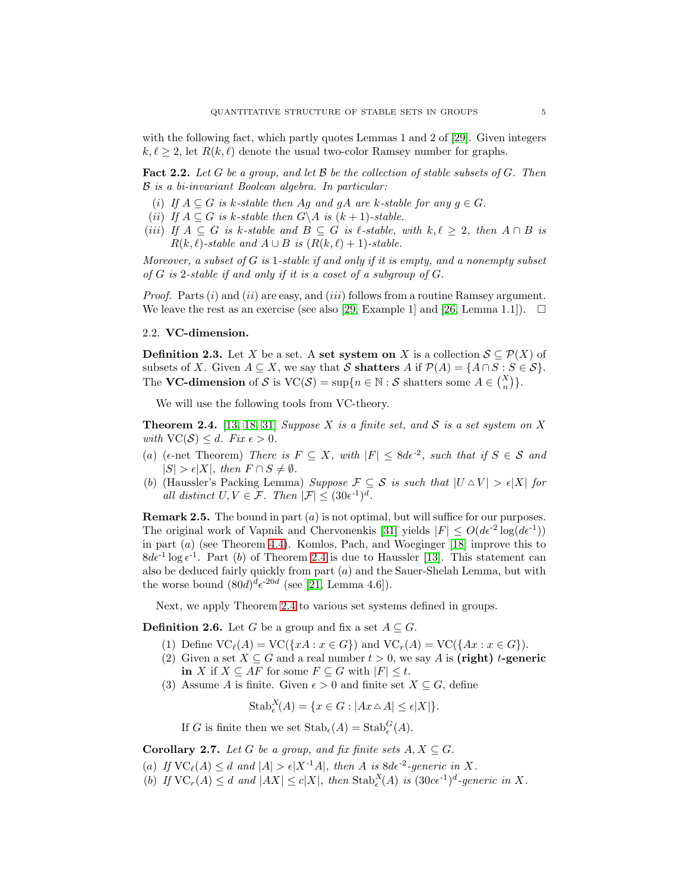with the following fact, which partly quotes Lemmas 1 and 2 of [\[29\]](#page-13-2). Given integers  $k, \ell \geq 2$ , let  $R(k, \ell)$  denote the usual two-color Ramsey number for graphs.

<span id="page-4-3"></span>Fact 2.2. *Let* G *be a group, and let* B *be the collection of stable subsets of* G*. Then* B *is a bi-invariant Boolean algebra. In particular:*

- (i) If  $A \subseteq G$  is k-stable then Ag and gA are k-stable for any  $g \in G$ .
- (*ii*) *If*  $A \subseteq G$  *is*  $k$ -stable then  $G \setminus A$  *is*  $(k+1)$ -stable.
- (*iii*) *If*  $A \subseteq G$  *is*  $k$ -stable and  $B \subseteq G$  *is*  $\ell$ -stable, with  $k, \ell \geq 2$ , then  $A \cap B$  *is*  $R(k, \ell)$ -stable and  $A \cup B$  is  $(R(k, \ell) + 1)$ -stable.

*Moreover, a subset of* G *is* 1*-stable if and only if it is empty, and a nonempty subset of* G *is* 2*-stable if and only if it is a coset of a subgroup of* G*.*

*Proof.* Parts (i) and (ii) are easy, and (iii) follows from a routine Ramsey argument. We leave the rest as an exercise (see also [\[29,](#page-13-2) Example 1] and [\[26,](#page-13-9) Lemma 1.1]).  $\square$ 

# 2.2. VC-dimension.

**Definition 2.3.** Let X be a set. A set system on X is a collection  $S \subseteq \mathcal{P}(X)$  of subsets of X. Given  $A \subseteq X$ , we say that S shatters A if  $\mathcal{P}(A) = \{A \cap S : S \in \mathcal{S}\}.$ The VC-dimension of S is  $VC(S) = \sup\{n \in \mathbb{N} : S \text{ shatters some } A \in {X \choose n}\}.$ 

We will use the following tools from VC-theory.

<span id="page-4-1"></span>Theorem 2.4. [\[13,](#page-12-17) [18,](#page-12-18) [31\]](#page-13-10) *Suppose* X *is a finite set, and* S *is a set system on* X *with*  $VC(S) \leq d$ *. Fix*  $\epsilon > 0$ *.* 

- (a) ( $\epsilon$ -net Theorem) *There is*  $F \subseteq X$ *, with*  $|F| \leq 8d\epsilon^{-2}$ *, such that if*  $S \in \mathcal{S}$  *and*  $|S| > \epsilon |X|$ *, then*  $F \cap S \neq \emptyset$ *.*
- (b) (Haussler's Packing Lemma) *Suppose*  $\mathcal{F} \subseteq \mathcal{S}$  *is such that*  $|U \triangle V| > \epsilon |X|$  *for all distinct*  $U, V \in \mathcal{F}$ . Then  $|\mathcal{F}| \leq (30e^{-1})^d$ .

<span id="page-4-2"></span>**Remark 2.5.** The bound in part  $(a)$  is not optimal, but will suffice for our purposes. The original work of Vapnik and Chervonenkis [\[31\]](#page-13-10) yields  $|F| \leq O(d\epsilon^2 \log(d\epsilon^{-1}))$ in part (a) (see Theorem [4.4\)](#page-9-1). Komlos, Pach, and Woeginger [\[18\]](#page-12-18) improve this to  $8d\epsilon^{-1}\log\epsilon^{-1}$ . Part (b) of Theorem [2.4](#page-4-1) is due to Haussler [\[13\]](#page-12-17). This statement can also be deduced fairly quickly from part  $(a)$  and the Sauer-Shelah Lemma, but with the worse bound  $(80d)^d \epsilon^{-20d}$  (see [\[21,](#page-13-1) Lemma 4.6]).

Next, we apply Theorem [2.4](#page-4-1) to various set systems defined in groups.

**Definition 2.6.** Let G be a group and fix a set  $A \subseteq G$ .

- (1) Define  $\text{VC}_\ell(A) = \text{VC}(\{xA : x \in G\})$  and  $\text{VC}_r(A) = \text{VC}(\{Ax : x \in G\}).$
- (2) Given a set  $X \subseteq G$  and a real number  $t > 0$ , we say A is (right) t-generic in X if  $X \subseteq AF$  for some  $F \subseteq G$  with  $|F| \leq t$ .
- (3) Assume A is finite. Given  $\epsilon > 0$  and finite set  $X \subseteq G$ , define

$$
Stab^X_{\epsilon}(A) = \{ x \in G : |Ax \triangle A| \leq \epsilon |X| \}.
$$

If G is finite then we set  $\operatorname{Stab}_{\epsilon}(A) = \operatorname{Stab}_{\epsilon}^{G}(A)$ .

<span id="page-4-0"></span>Corollary 2.7. Let G be a group, and fix finite sets  $A, X \subseteq G$ .

- (a) If  $\text{VC}_\ell(A) \leq d$  and  $|A| > \epsilon |X^{-1}A|$ , then A is  $8d\epsilon^{-2}$ -generic in X.
- (b) If  $\text{VC}_r(A) \leq d$  and  $|AX| \leq c|X|$ , then  $\text{Stab}_{\epsilon}^X(A)$  is  $(30c\epsilon^{-1})^d$ -generic in X.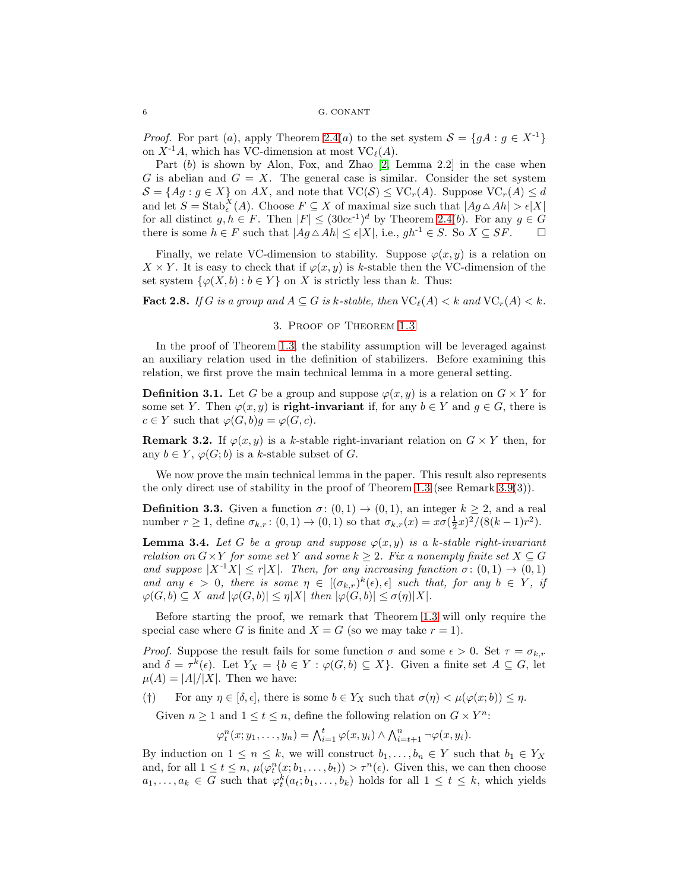*Proof.* For part (a), apply Theorem [2.4\(](#page-4-1)a) to the set system  $S = \{gA : g \in X^{-1}\}\$ on  $X^{-1}A$ , which has VC-dimension at most  $VC_{\ell}(A)$ .

Part  $(b)$  is shown by Alon, Fox, and Zhao  $[2, \text{ Lemma } 2.2]$  in the case when G is abelian and  $G = X$ . The general case is similar. Consider the set system  $\mathcal{S} = \{Ag : g \in X\}$  on  $AX$ , and note that  $\text{VC}(\mathcal{S}) \leq \text{VC}_r(A)$ . Suppose  $\text{VC}_r(A) \leq d$ and let  $S = \operatorname{Stab}_{\epsilon}^X(A)$ . Choose  $F \subseteq X$  of maximal size such that  $|Ag \triangle Ah| > \epsilon |X|$ for all distinct  $g, h \in F$ . Then  $|F| \leq (30c\epsilon^{-1})^d$  by Theorem [2.4\(](#page-4-1)b). For any  $g \in G$ there is some  $h \in F$  such that  $|Ag \triangle Ah| \leq \epsilon |X|$ , i.e.,  $gh^{-1} \in S$ . So  $X \subseteq SF$ .  $\Box$ 

Finally, we relate VC-dimension to stability. Suppose  $\varphi(x, y)$  is a relation on  $X \times Y$ . It is easy to check that if  $\varphi(x, y)$  is k-stable then the VC-dimension of the set system  $\{\varphi(X, b) : b \in Y\}$  on X is strictly less than k. Thus:

<span id="page-5-3"></span><span id="page-5-2"></span>**Fact 2.8.** *If* G is a group and  $A \subseteq G$  is k-stable, then  $VC_{\ell}(A) < k$  *and*  $VC_r(A) < k$ .

## 3. Proof of Theorem [1.3](#page-1-2)

In the proof of Theorem [1.3,](#page-1-2) the stability assumption will be leveraged against an auxiliary relation used in the definition of stabilizers. Before examining this relation, we first prove the main technical lemma in a more general setting.

**Definition 3.1.** Let G be a group and suppose  $\varphi(x, y)$  is a relation on  $G \times Y$  for some set Y. Then  $\varphi(x, y)$  is **right-invariant** if, for any  $b \in Y$  and  $g \in G$ , there is  $c \in Y$  such that  $\varphi(G, b)g = \varphi(G, c)$ .

<span id="page-5-1"></span>**Remark 3.2.** If  $\varphi(x, y)$  is a k-stable right-invariant relation on  $G \times Y$  then, for any  $b \in Y$ ,  $\varphi(G; b)$  is a k-stable subset of G.

We now prove the main technical lemma in the paper. This result also represents the only direct use of stability in the proof of Theorem [1.3](#page-1-2) (see Remark [3.9\(](#page-7-0)3)).

**Definition 3.3.** Given a function  $\sigma: (0,1) \rightarrow (0,1)$ , an integer  $k \geq 2$ , and a real number  $r \ge 1$ , define  $\sigma_{k,r}$ :  $(0,1) \to (0,1)$  so that  $\sigma_{k,r}(x) = x\sigma(\frac{1}{2}x)^2/(8(k-1)r^2)$ .

<span id="page-5-0"></span>**Lemma 3.4.** Let G be a group and suppose  $\varphi(x, y)$  is a k-stable right-invariant *relation on*  $G \times Y$  *for some set* Y *and some*  $k \geq 2$ *. Fix a nonempty finite set*  $X \subseteq G$ *and suppose*  $|X^{-1}X| \le r|X|$ *. Then, for any increasing function*  $\sigma: (0,1) \to (0,1)$ and any  $\epsilon > 0$ , there is some  $\eta \in [(\sigma_{k,r})^k(\epsilon), \epsilon]$  such that, for any  $b \in Y$ , if  $\varphi(G, b) \subseteq X$  *and*  $|\varphi(G, b)| \leq \eta |X|$  *then*  $|\varphi(G, b)| \leq \sigma(\eta) |X|$ *.* 

Before starting the proof, we remark that Theorem [1.3](#page-1-2) will only require the special case where G is finite and  $X = G$  (so we may take  $r = 1$ ).

*Proof.* Suppose the result fails for some function  $\sigma$  and some  $\epsilon > 0$ . Set  $\tau = \sigma_{k,r}$ and  $\delta = \tau^k(\epsilon)$ . Let  $Y_X = \{b \in Y : \varphi(G, b) \subseteq X\}$ . Given a finite set  $A \subseteq G$ , let  $\mu(A) = |A|/|X|$ . Then we have:

(†) For any  $\eta \in [\delta, \epsilon]$ , there is some  $b \in Y_X$  such that  $\sigma(\eta) < \mu(\varphi(x; b)) \leq \eta$ .

Given  $n \geq 1$  and  $1 \leq t \leq n$ , define the following relation on  $G \times Y^n$ :

$$
\varphi_t^n(x; y_1, \ldots, y_n) = \bigwedge_{i=1}^t \varphi(x, y_i) \wedge \bigwedge_{i=t+1}^n \neg \varphi(x, y_i).
$$

By induction on  $1 \leq n \leq k$ , we will construct  $b_1, \ldots, b_n \in Y$  such that  $b_1 \in Y_X$ and, for all  $1 \leq t \leq n$ ,  $\mu(\varphi_t^n(x; b_1, \ldots, b_t)) > \tau^n(\epsilon)$ . Given this, we can then choose  $a_1, \ldots, a_k \in G$  such that  $\varphi_t^k(a_t; b_1, \ldots, b_k)$  holds for all  $1 \leq t \leq k$ , which yields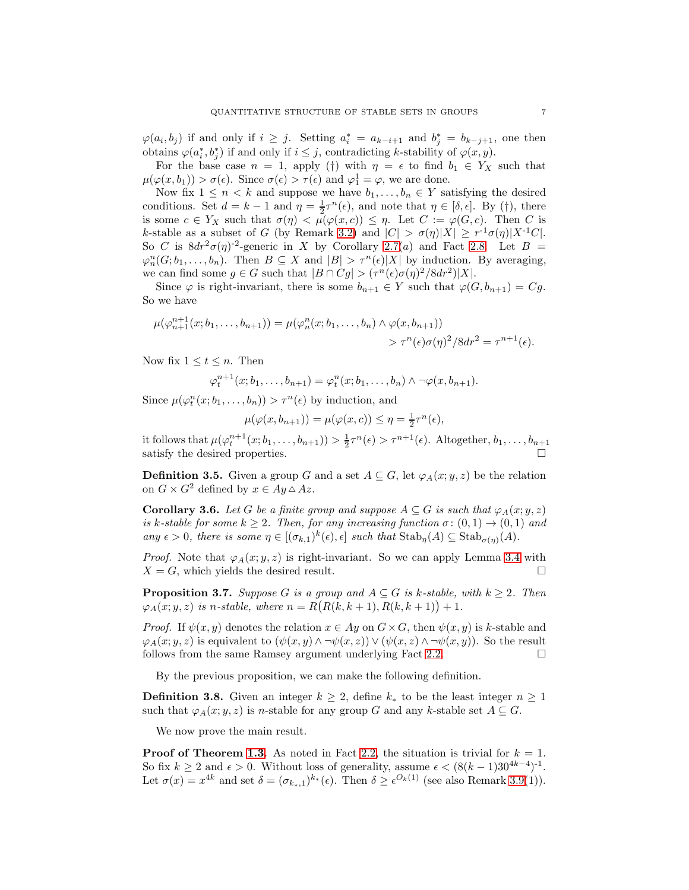$\varphi(a_i, b_j)$  if and only if  $i \geq j$ . Setting  $a_i^* = a_{k-i+1}$  and  $b_j^* = b_{k-j+1}$ , one then obtains  $\varphi(a_i^*, b_j^*)$  if and only if  $i \leq j$ , contradicting k-stability of  $\varphi(x, y)$ .

For the base case  $n = 1$ , apply (†) with  $\eta = \epsilon$  to find  $b_1 \in Y_X$  such that  $\mu(\varphi(x, b_1)) > \sigma(\epsilon)$ . Since  $\sigma(\epsilon) > \tau(\epsilon)$  and  $\varphi_1^1 = \varphi$ , we are done.

Now fix  $1 \leq n < k$  and suppose we have  $b_1, \ldots, b_n \in Y$  satisfying the desired conditions. Set  $d = k - 1$  and  $\eta = \frac{1}{2}\tau^n(\epsilon)$ , and note that  $\eta \in [\delta, \epsilon]$ . By (†), there is some  $c \in Y_X$  such that  $\sigma(\eta) < \mu(\varphi(x, c)) \leq \eta$ . Let  $C := \varphi(G, c)$ . Then C is k-stable as a subset of G (by Remark [3.2\)](#page-5-1) and  $|C| > \sigma(\eta)|X| \geq r^{-1}\sigma(\eta)|X^{-1}C|$ . So C is  $8dr^2\sigma(\eta)^{-2}$ -generic in X by Corollary [2.7\(](#page-4-0)a) and Fact [2.8.](#page-5-2) Let  $B =$  $\varphi_n^n(G; b_1, \ldots, b_n)$ . Then  $B \subseteq X$  and  $|B| > \tau^n(\epsilon)|X|$  by induction. By averaging, we can find some  $g \in G$  such that  $|B \cap Cg| > (\tau^n(\epsilon) \sigma(\eta)^2 / 8dr^2)|X|$ .

Since  $\varphi$  is right-invariant, there is some  $b_{n+1} \in Y$  such that  $\varphi(G, b_{n+1}) = Cg$ . So we have

$$
\mu(\varphi_{n+1}^{n+1}(x;b_1,\ldots,b_{n+1})) = \mu(\varphi_n^n(x;b_1,\ldots,b_n) \wedge \varphi(x,b_{n+1})) \\
\qquad \qquad > \tau^n(\epsilon)\sigma(\eta)^2/8dr^2 = \tau^{n+1}(\epsilon).
$$

Now fix  $1 \leq t \leq n$ . Then

$$
\varphi_t^{n+1}(x;b_1,\ldots,b_{n+1})=\varphi_t^n(x;b_1,\ldots,b_n)\wedge\neg\varphi(x,b_{n+1}).
$$

Since  $\mu(\varphi_t^n(x; b_1, \ldots, b_n)) > \tau^n(\epsilon)$  by induction, and

$$
\mu(\varphi(x, b_{n+1})) = \mu(\varphi(x, c)) \le \eta = \frac{1}{2}\tau^n(\epsilon),
$$

it follows that  $\mu(\varphi_t^{n+1}(x;b_1,\ldots,b_{n+1})) > \frac{1}{2}\tau^n(\epsilon) > \tau^{n+1}(\epsilon)$ . Altogether,  $b_1,\ldots,b_{n+1}$ satisfy the desired properties.

**Definition 3.5.** Given a group G and a set  $A \subseteq G$ , let  $\varphi_A(x; y, z)$  be the relation on  $G \times G^2$  defined by  $x \in Ay \triangle Az$ .

<span id="page-6-0"></span>Corollary 3.6. Let G be a finite group and suppose  $A \subseteq G$  is such that  $\varphi_A(x; y, z)$ *is* k-stable for some  $k \geq 2$ . Then, for any increasing function  $\sigma: (0,1) \rightarrow (0,1)$  and *any*  $\epsilon > 0$ , there is some  $\eta \in [(\sigma_{k,1})^k(\epsilon), \epsilon]$  such that  $\text{Stab}_{\eta}(A) \subseteq \text{Stab}_{\sigma(\eta)}(A)$ .

*Proof.* Note that  $\varphi_A(x; y, z)$  is right-invariant. So we can apply Lemma [3.4](#page-5-0) with  $X = G$ , which yields the desired result.

<span id="page-6-1"></span>**Proposition 3.7.** *Suppose* G *is a group and*  $A \subseteq G$  *is k-stable, with*  $k \geq 2$ *. Then*  $\varphi_A(x; y, z)$  *is n-stable, where*  $n = R(R(k, k + 1), R(k, k + 1)) + 1$ .

*Proof.* If  $\psi(x, y)$  denotes the relation  $x \in Ay$  on  $G \times G$ , then  $\psi(x, y)$  is k-stable and  $\varphi_A(x; y, z)$  is equivalent to  $(\psi(x, y) \land \neg \psi(x, z)) \lor (\psi(x, z) \land \neg \psi(x, y))$ . So the result follows from the same Ramsey argument underlying Fact [2.2.](#page-4-3)  $\Box$ 

By the previous proposition, we can make the following definition.

**Definition 3.8.** Given an integer  $k \geq 2$ , define  $k_*$  to be the least integer  $n \geq 1$ such that  $\varphi_A(x; y, z)$  is *n*-stable for any group G and any k-stable set  $A \subseteq G$ .

We now prove the main result.

**Proof of Theorem [1.3](#page-1-2)**. As noted in Fact [2.2,](#page-4-3) the situation is trivial for  $k = 1$ . So fix  $k \ge 2$  and  $\epsilon > 0$ . Without loss of generality, assume  $\epsilon < (8(k-1)30^{4k-4})^{-1}$ . Let  $\sigma(x) = x^{4k}$  and set  $\delta = (\sigma_{k_*,1})^{k_*}(\epsilon)$ . Then  $\delta \geq \epsilon^{O_k(1)}$  (see also Remark [3.9\(](#page-7-0)1)).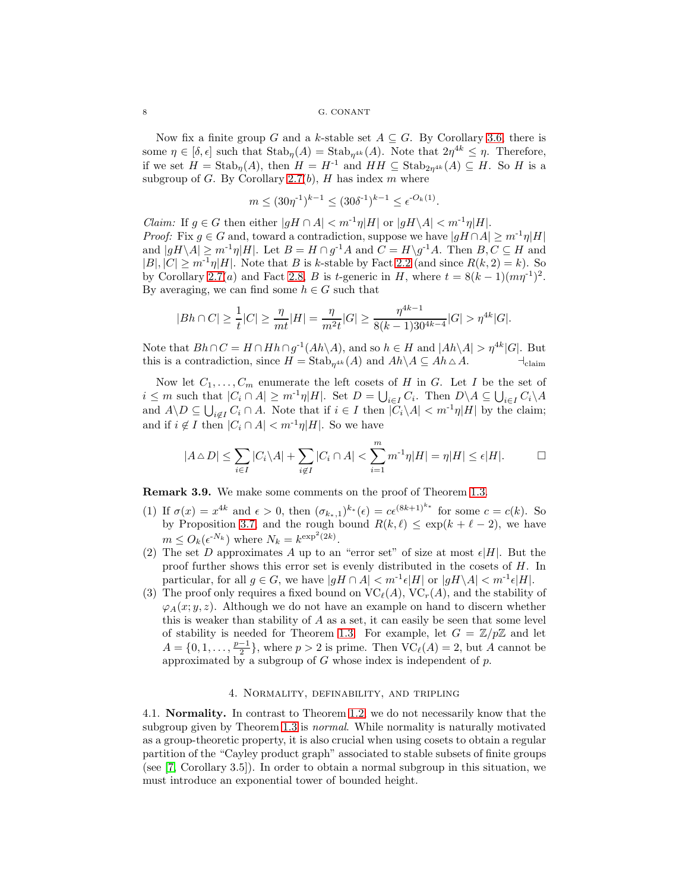Now fix a finite group G and a k-stable set  $A \subseteq G$ . By Corollary [3.6,](#page-6-0) there is some  $\eta \in [\delta, \epsilon]$  such that  $\text{Stab}_{\eta}(A) = \text{Stab}_{\eta^{4k}}(A)$ . Note that  $2\eta^{4k} \leq \eta$ . Therefore, if we set  $H = \text{Stab}_{\eta}(A)$ , then  $H = H^{-1}$  and  $HH \subseteq \text{Stab}_{2\eta^{4k}}(A) \subseteq H$ . So H is a subgroup of G. By Corollary [2.7\(](#page-4-0)b), H has index m where

$$
m \le (30\eta^{-1})^{k-1} \le (30\delta^{-1})^{k-1} \le \epsilon^{-O_k(1)}.
$$

*Claim:* If  $g \in G$  then either  $|gH \cap A| < m^{-1}\eta|H|$  or  $|gH \setminus A| < m^{-1}\eta|H|$ . *Proof:* Fix  $g \in G$  and, toward a contradiction, suppose we have  $|gH \cap A| \geq m^{-1}\eta|H|$ and  $|gH \setminus A| \ge m^{-1}\eta|H|$ . Let  $B = H \cap g^{-1}A$  and  $C = H \setminus g^{-1}A$ . Then  $B, C \subseteq H$  and  $|B|, |C| \geq m^{-1}\eta|H|$ . Note that B is k-stable by Fact [2.2](#page-4-3) (and since  $R(k, 2) = k$ ). So by Corollary [2.7\(](#page-4-0)*a*) and Fact [2.8,](#page-5-2) *B* is *t*-generic in *H*, where  $t = 8(k-1)(m\eta^{-1})^2$ . By averaging, we can find some  $h \in G$  such that

$$
|Bh\cap C|\geq \frac{1}{t}|C|\geq \frac{\eta}{mt}|H|=\frac{\eta}{m^2t}|G|\geq \frac{\eta^{4k-1}}{8(k-1)30^{4k-4}}|G|>\eta^{4k}|G|.
$$

Note that  $Bh \cap C = H \cap Hh \cap g^{-1}(Ah \setminus A)$ , and so  $h \in H$  and  $|Ah \setminus A| > \eta^{4k} |G|$ . But this is a contradiction, since  $H = \text{Stab}_{n^{4k}}(A)$  and  $Ah \setminus A \subseteq Ah \triangle A$ .  $\qquad \qquad \vdots$ 

Now let  $C_1, \ldots, C_m$  enumerate the left cosets of H in G. Let I be the set of  $i \leq m$  such that  $|C_i \cap A| \geq m^{-1}\eta |H|$ . Set  $D = \bigcup_{i \in I} C_i$ . Then  $D \setminus A \subseteq \bigcup_{i \in I} C_i \setminus A$ and  $A \backslash D \subseteq \bigcup_{i \notin I} C_i \cap A$ . Note that if  $i \in I$  then  $|C_i \backslash A| < m^{-1}\eta |H|$  by the claim; and if  $i \notin I$  then  $|C_i \cap A| < m^{-1}\eta|H|$ . So we have

$$
|A \triangle D| \le \sum_{i \in I} |C_i \backslash A| + \sum_{i \notin I} |C_i \cap A| < \sum_{i=1}^m m^{-1} \eta |H| = \eta |H| \le \epsilon |H|. \qquad \Box
$$

<span id="page-7-0"></span>Remark 3.9. We make some comments on the proof of Theorem [1.3.](#page-1-2)

- (1) If  $\sigma(x) = x^{4k}$  and  $\epsilon > 0$ , then  $(\sigma_{k_*,1})^{k_*}(\epsilon) = c\epsilon^{(8k+1)^{k_*}}$  for some  $c = c(k)$ . So by Proposition [3.7,](#page-6-1) and the rough bound  $R(k, \ell) \leq \exp(k + \ell - 2)$ , we have  $m \leq O_k(\epsilon^{N_k})$  where  $N_k = k^{\exp^2(2k)}$ .
- (2) The set D approximates A up to an "error set" of size at most  $\epsilon|H|$ . But the proof further shows this error set is evenly distributed in the cosets of  $H$ . In particular, for all  $g \in G$ , we have  $|gH \cap A| < m^{-1} \epsilon |H|$  or  $|gH \setminus A| < m^{-1} \epsilon |H|$ .
- (3) The proof only requires a fixed bound on  $\mathrm{VC}_\ell(A)$ ,  $\mathrm{VC}_r(A)$ , and the stability of  $\varphi_A(x; y, z)$ . Although we do not have an example on hand to discern whether this is weaker than stability of  $A$  as a set, it can easily be seen that some level of stability is needed for Theorem [1.3.](#page-1-2) For example, let  $G = \mathbb{Z}/p\mathbb{Z}$  and let  $A = \{0, 1, \ldots, \frac{p-1}{2}\},\$  where  $p > 2$  is prime. Then  $\text{VC}_\ell(A) = 2$ , but A cannot be approximated by a subgroup of G whose index is independent of  $p$ .

#### 4. Normality, definability, and tripling

<span id="page-7-1"></span>4.1. Normality. In contrast to Theorem [1.2,](#page-1-1) we do not necessarily know that the subgroup given by Theorem [1.3](#page-1-2) is *normal*. While normality is naturally motivated as a group-theoretic property, it is also crucial when using cosets to obtain a regular partition of the "Cayley product graph" associated to stable subsets of finite groups (see [\[7,](#page-12-8) Corollary 3.5]). In order to obtain a normal subgroup in this situation, we must introduce an exponential tower of bounded height.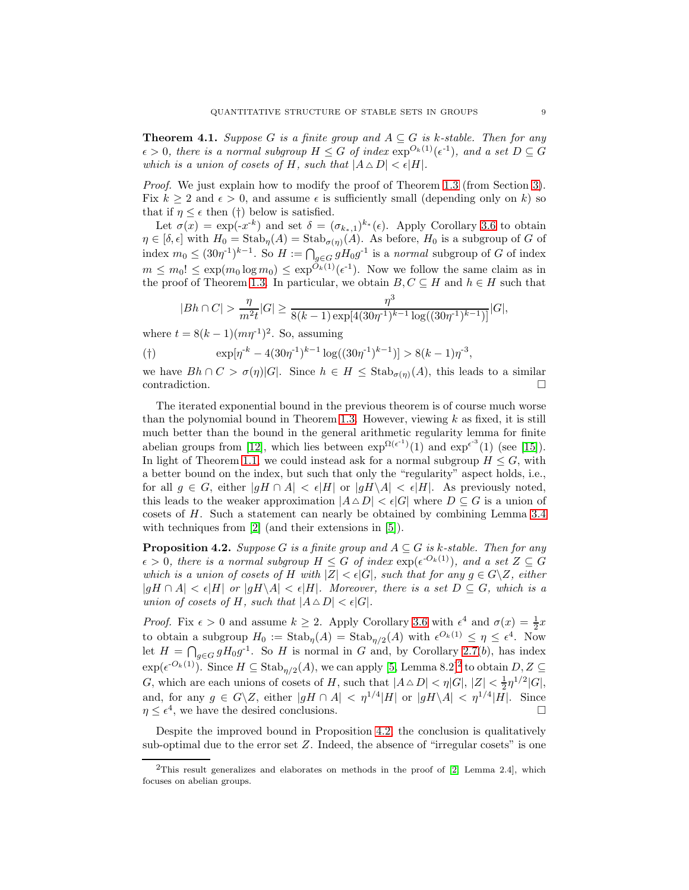<span id="page-8-0"></span>**Theorem 4.1.** *Suppose* G *is a finite group and*  $A \subseteq G$  *is k-stable. Then for any*  $\epsilon > 0$ , there is a normal subgroup  $H \leq G$  of index  $\exp^{O_k(1)}(\epsilon^{-1})$ , and a set  $D \subseteq G$ *which is a union of cosets of*  $H$ *, such that*  $|A \triangle D| < \epsilon |H|$ *.* 

*Proof.* We just explain how to modify the proof of Theorem [1.3](#page-1-2) (from Section [3\)](#page-5-3). Fix  $k \geq 2$  and  $\epsilon > 0$ , and assume  $\epsilon$  is sufficiently small (depending only on k) so that if  $\eta \leq \epsilon$  then (†) below is satisfied.

Let  $\sigma(x) = \exp(-x^{-k})$  and set  $\delta = (\sigma_{k_*,1})^{k_*}(\epsilon)$ . Apply Corollary [3.6](#page-6-0) to obtain  $\eta \in [\delta, \epsilon]$  with  $H_0 = \text{Stab}_{\eta}(A) = \text{Stab}_{\sigma(\eta)}(A)$ . As before,  $H_0$  is a subgroup of G of index  $m_0 \leq (30\eta^{-1})^{k-1}$ . So  $H := \bigcap_{g \in G} gH_0g^{-1}$  is a *normal* subgroup of G of index  $m \leq m_0! \leq \exp(m_0 \log m_0) \leq \exp^{O_k(1)}(\epsilon^{-1})$ . Now we follow the same claim as in the proof of Theorem [1.3.](#page-1-2) In particular, we obtain  $B, C \subseteq H$  and  $h \in H$  such that

$$
|Bh \cap C| > \frac{\eta}{m^2 t} |G| \ge \frac{\eta^3}{8(k-1) \exp[4(30\eta^{-1})^{k-1} \log((30\eta^{-1})^{k-1})]} |G|,
$$

where  $t = 8(k-1)(m\eta^{-1})^2$ . So, assuming

$$
(\dagger) \qquad \exp[\eta^{k} - 4(30\eta^{-1})^{k-1}\log((30\eta^{-1})^{k-1})] > 8(k-1)\eta^{-3},
$$

we have  $Bh \cap C > \sigma(\eta)[G]$ . Since  $h \in H \leq \text{Stab}_{\sigma(\eta)}(A)$ , this leads to a similar  $\Box$ contradiction.

The iterated exponential bound in the previous theorem is of course much worse than the polynomial bound in Theorem [1.3.](#page-1-2) However, viewing  $k$  as fixed, it is still much better than the bound in the general arithmetic regularity lemma for finite abelian groups from [\[12\]](#page-12-6), which lies between  $\exp^{\Omega(\epsilon^{-1})}(1)$  and  $\exp^{\epsilon^{-3}}(1)$  (see [\[15\]](#page-12-19)). In light of Theorem [1.1,](#page-1-0) we could instead ask for a normal subgroup  $H \leq G$ , with a better bound on the index, but such that only the "regularity" aspect holds, i.e., for all  $g \in G$ , either  $|gH \cap A| < \epsilon |H|$  or  $|gH \setminus A| < \epsilon |H|$ . As previously noted, this leads to the weaker approximation  $|A \triangle D| < \epsilon |G|$  where  $D \subseteq G$  is a union of cosets of H. Such a statement can nearly be obtained by combining Lemma [3.4](#page-5-0) with techniques from [\[2\]](#page-12-7) (and their extensions in [\[5\]](#page-12-16)).

<span id="page-8-2"></span>**Proposition 4.2.** *Suppose* G *is a finite group and*  $A \subseteq G$  *is k-stable. Then for any*  $\epsilon > 0$ , there is a normal subgroup  $H \leq G$  of index  $\exp(\epsilon^{-O_k(1)})$ , and a set  $Z \subseteq G$ *which is a union of cosets of* H *with*  $|Z| < \epsilon |G|$ *, such that for any*  $g \in G \setminus Z$ *, either*  $|gH \cap A| < \epsilon |H|$  or  $|gH \setminus A| < \epsilon |H|$ *. Moreover, there is a set*  $D \subseteq G$ *, which is a union of cosets of H, such that*  $|A \triangle D| < \epsilon |G|$ *.* 

*Proof.* Fix  $\epsilon > 0$  and assume  $k \geq 2$ . Apply Corollary [3.6](#page-6-0) with  $\epsilon^4$  and  $\sigma(x) = \frac{1}{2}x$ to obtain a subgroup  $H_0 := \text{Stab}_{\eta}(A) = \text{Stab}_{\eta/2}(A)$  with  $\epsilon^{O_k(1)} \leq \eta \leq \epsilon^4$ . Now let  $H = \bigcap_{g \in G} gH_0g^{-1}$ . So H is normal in G and, by Corollary [2.7\(](#page-4-0)b), has index  $\exp(\epsilon^{-O_k(1)})$ . Since  $H \subseteq \text{Stab}_{\eta/2}(A)$  $H \subseteq \text{Stab}_{\eta/2}(A)$  $H \subseteq \text{Stab}_{\eta/2}(A)$ , we can apply [\[5,](#page-12-16) Lemma 8.2]<sup>2</sup> to obtain  $D, Z \subseteq$ G, which are each unions of cosets of H, such that  $|A \triangle D| < \eta |G|$ ,  $|Z| < \frac{1}{2} \eta^{1/2} |G|$ , and, for any  $g \in G \backslash Z$ , either  $|gH \cap A| < \eta^{1/4} |H|$  or  $|gH \backslash A| < \eta^{1/4} |H|$ . Since  $\eta \leq \epsilon^4$ , we have the desired conclusions.

Despite the improved bound in Proposition [4.2,](#page-8-2) the conclusion is qualitatively sub-optimal due to the error set  $Z$ . Indeed, the absence of "irregular cosets" is one

<span id="page-8-1"></span><sup>&</sup>lt;sup>2</sup>This result generalizes and elaborates on methods in the proof of [\[2,](#page-12-7) Lemma 2.4], which focuses on abelian groups.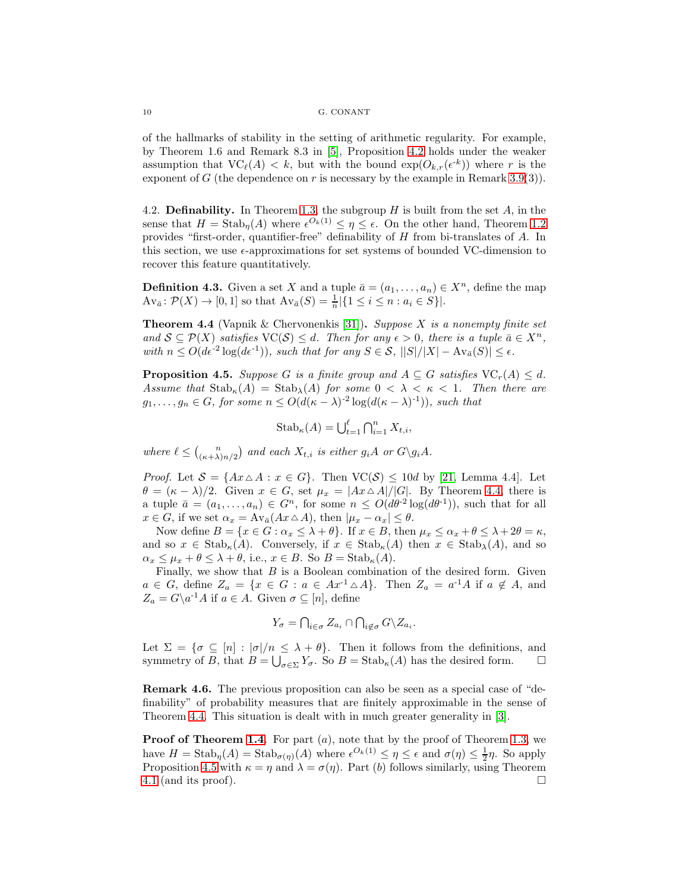of the hallmarks of stability in the setting of arithmetic regularity. For example, by Theorem 1.6 and Remark 8.3 in [\[5\]](#page-12-16), Proposition [4.2](#page-8-2) holds under the weaker assumption that  $VC_{\ell}(A) < k$ , but with the bound  $exp(O_{k,r}(\epsilon^{k}))$  where r is the exponent of G (the dependence on r is necessary by the example in Remark [3.9\(](#page-7-0)3)).

<span id="page-9-0"></span>4.2. Definability. In Theorem [1.3,](#page-1-2) the subgroup  $H$  is built from the set  $A$ , in the sense that  $H = \text{Stab}_{\eta}(A)$  where  $\epsilon^{O_k(1)} \leq \eta \leq \epsilon$ . On the other hand, Theorem [1.2](#page-1-1) provides "first-order, quantifier-free" definability of H from bi-translates of A. In this section, we use  $\epsilon$ -approximations for set systems of bounded VC-dimension to recover this feature quantitatively.

**Definition 4.3.** Given a set X and a tuple  $\bar{a} = (a_1, \ldots, a_n) \in X^n$ , define the map  $Av_{\bar{a}} \colon \mathcal{P}(X) \to [0,1]$  so that  $Av_{\bar{a}}(S) = \frac{1}{n} |\{1 \le i \le n : a_i \in S\}|.$ 

<span id="page-9-1"></span>Theorem 4.4 (Vapnik & Chervonenkis [\[31\]](#page-13-10)). *Suppose* X *is a nonempty finite set and*  $S \subseteq \mathcal{P}(X)$  *satisfies*  $\text{VC}(S) \leq d$ . Then for any  $\epsilon > 0$ , there is a tuple  $\bar{a} \in X^n$ .  $with\ n \leq O(d\epsilon^{-2}\log(d\epsilon^{-1}))$ *, such that for any*  $S \in \mathcal{S}$ *,*  $||S|/|X| - Av_{\bar{a}}(S)| \leq \epsilon$ *.* 

<span id="page-9-2"></span>**Proposition 4.5.** *Suppose* G *is a finite group and*  $A \subseteq G$  *satisfies*  $VC_r(A) \leq d$ *.* Assume that  $\text{Stab}_\kappa(A) = \text{Stab}_\lambda(A)$  *for some*  $0 < \lambda < \kappa < 1$ *. Then there are*  $g_1, \ldots, g_n \in G$ , for some  $n \leq O(d(\kappa - \lambda)^{-2} \log(d(\kappa - \lambda)^{-1}))$ , such that

$$
Stab_{\kappa}(A) = \bigcup_{t=1}^{\ell} \bigcap_{i=1}^{n} X_{t,i},
$$

where  $\ell \leq {n \choose (\kappa+\lambda)n/2}$  and each  $X_{t,i}$  is either  $g_iA$  or  $G\gtrsim g_iA$ .

*Proof.* Let  $S = \{Ax \triangle A : x \in G\}$ . Then  $VC(S) \leq 10d$  by [\[21,](#page-13-1) Lemma 4.4]. Let  $\theta = (\kappa - \lambda)/2$ . Given  $x \in G$ , set  $\mu_x = |Ax \triangle A|/|G|$ . By Theorem [4.4,](#page-9-1) there is a tuple  $\bar{a} = (a_1, \ldots, a_n) \in G^n$ , for some  $n \leq O(d\theta^2 \log(d\theta^1))$ , such that for all  $x \in G$ , if we set  $\alpha_x = Av_{\bar{a}}(Ax \triangle A)$ , then  $|\mu_x - \alpha_x| \le \theta$ .

Now define  $B = \{x \in G : \alpha_x \leq \lambda + \theta\}$ . If  $x \in B$ , then  $\mu_x \leq \alpha_x + \theta \leq \lambda + 2\theta = \kappa$ , and so  $x \in \text{Stab}_\kappa(A)$ . Conversely, if  $x \in \text{Stab}_\kappa(A)$  then  $x \in \text{Stab}_\lambda(A)$ , and so  $\alpha_x \leq \mu_x + \theta \leq \lambda + \theta$ , i.e.,  $x \in B$ . So  $B = \text{Stab}_{\kappa}(A)$ .

Finally, we show that  $B$  is a Boolean combination of the desired form. Given  $a \in G$ , define  $Z_a = \{x \in G : a \in Ax^{-1} \triangle A\}$ . Then  $Z_a = a^{-1}A$  if  $a \notin A$ , and  $Z_a = G \backslash a^{-1}A$  if  $a \in A$ . Given  $\sigma \subseteq [n]$ , define

$$
Y_{\sigma} = \bigcap_{i \in \sigma} Z_{a_i} \cap \bigcap_{i \notin \sigma} G \backslash Z_{a_i}.
$$

Let  $\Sigma = {\sigma \subseteq [n] : |\sigma|/n \leq \lambda + \theta}.$  Then it follows from the definitions, and symmetry of B, that  $B = \bigcup_{\sigma \in \Sigma} Y_{\sigma}$ . So  $B = \text{Stab}_{\kappa}(A)$  has the desired form.  $\square$ 

Remark 4.6. The previous proposition can also be seen as a special case of "definability" of probability measures that are finitely approximable in the sense of Theorem [4.4.](#page-9-1) This situation is dealt with in much greater generality in [\[3\]](#page-12-3).

**Proof of Theorem [1.4](#page-2-0)**. For part (a), note that by the proof of Theorem [1.3,](#page-1-2) we have  $H = \text{Stab}_{\eta}(A) = \text{Stab}_{\sigma(\eta)}(A)$  where  $\epsilon^{O_k(1)} \leq \eta \leq \epsilon$  and  $\sigma(\eta) \leq \frac{1}{2}\eta$ . So apply Proposition [4.5](#page-9-2) with  $\kappa = \eta$  and  $\lambda = \sigma(\eta)$ . Part (b) follows similarly, using Theorem [4.1](#page-8-0) (and its proof).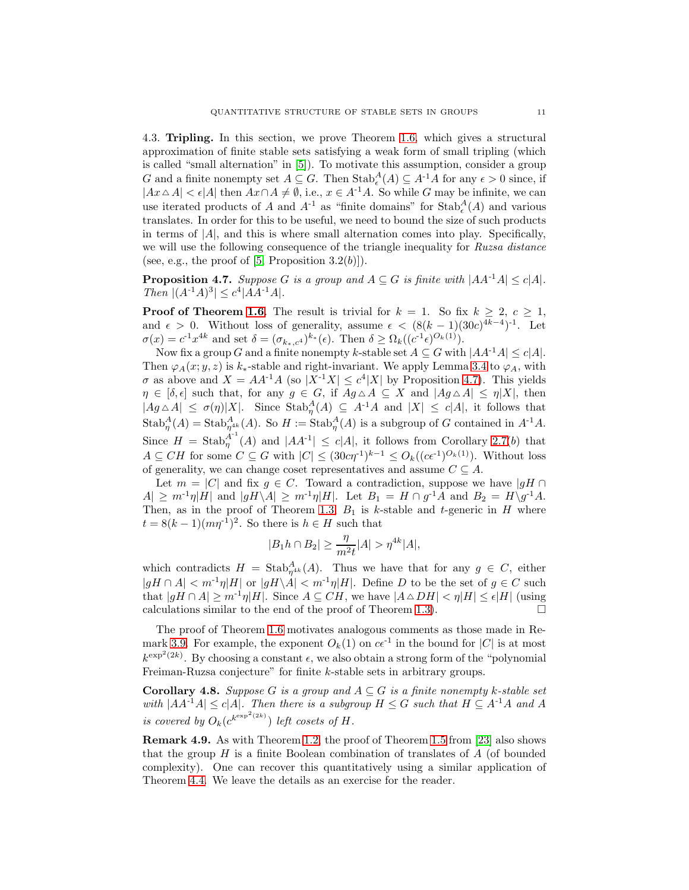<span id="page-10-0"></span>4.3. Tripling. In this section, we prove Theorem [1.6,](#page-3-1) which gives a structural approximation of finite stable sets satisfying a weak form of small tripling (which is called "small alternation" in [\[5\]](#page-12-16)). To motivate this assumption, consider a group G and a finite nonempty set  $A \subseteq G$ . Then  $\text{Stab}_{\epsilon}^{A}(A) \subseteq A^{-1}A$  for any  $\epsilon > 0$  since, if  $|Ax \triangle A| < \epsilon |A|$  then  $Ax \cap A \neq \emptyset$ , i.e.,  $x \in A^{-1}A$ . So while G may be infinite, we can use iterated products of A and  $A^{-1}$  as "finite domains" for  $\operatorname{Stab}^A_\epsilon(A)$  and various translates. In order for this to be useful, we need to bound the size of such products in terms of  $|A|$ , and this is where small alternation comes into play. Specifically, we will use the following consequence of the triangle inequality for *Ruzsa distance* (see, e.g., the proof of  $[5,$  Proposition  $3.2(b)$ ).

<span id="page-10-1"></span>**Proposition 4.7.** *Suppose* G *is a group and*  $A \subseteq G$  *is finite with*  $|AA^{-1}A| \le c|A|$ *.*  $\text{Then } |(A^{-1}A)^3| \leq c^4|AA^{-1}A|.$ 

**Proof of Theorem [1.6](#page-3-1)**. The result is trivial for  $k = 1$ . So fix  $k \geq 2$ ,  $c \geq 1$ , and  $\epsilon > 0$ . Without loss of generality, assume  $\epsilon < (8(k-1)(30c)^{4k-4})^{-1}$ . Let  $\sigma(x) = c^{-1}x^{4k}$  and set  $\delta = (\sigma_{k_*,c^4})^{k_*}(\epsilon)$ . Then  $\delta \geq \Omega_k((c^{-1}\epsilon)^{O_k(1)})$ .

Now fix a group G and a finite nonempty k-stable set  $A \subseteq G$  with  $|AA^{-1}A| \le c|A|$ . Then  $\varphi_A(x; y, z)$  is k<sub>\*</sub>-stable and right-invariant. We apply Lemma [3.4](#page-5-0) to  $\varphi_A$ , with  $\sigma$  as above and  $X = AA^{-1}A$  (so  $|X^{-1}X| \leq c^4|X|$  by Proposition [4.7\)](#page-10-1). This yields  $\eta \in [\delta, \epsilon]$  such that, for any  $g \in G$ , if  $Ag \triangle A \subseteq X$  and  $|Ag \triangle A| \leq \eta |X|$ , then  $|Ag \triangle A| \leq \sigma(\eta)|X|$ . Since  $\text{Stab}_{\eta}^{A}(A) \subseteq A^{-1}A$  and  $|X| \leq c|A|$ , it follows that  $\operatorname{Stab}^A_\eta(A) = \operatorname{Stab}^A_{\eta^{4k}}(A)$ . So  $H := \operatorname{Stab}^A_\eta(A)$  is a subgroup of G contained in  $A^{-1}A$ . Since  $H = \text{Stab}_n^{A^{-1}}$  $\eta_{\eta}^{A^{-1}}(A)$  and  $|AA^{-1}| \leq c|A|$ , it follows from Corollary [2.7\(](#page-4-0)b) that  $A \subseteq CH$  for some  $C \subseteq G$  with  $|C| \leq (30c\eta^{-1})^{k-1} \leq O_k((c\epsilon^{-1})^{O_k(1)})$ . Without loss of generality, we can change coset representatives and assume  $C \subseteq A$ .

Let  $m = |C|$  and fix  $g \in C$ . Toward a contradiction, suppose we have  $|gH \cap C|$  $|A| \geq m^{-1}\eta |H|$  and  $|gH \setminus A| \geq m^{-1}\eta |H|$ . Let  $B_1 = H \cap g^{-1}A$  and  $B_2 = H \setminus g^{-1}A$ . Then, as in the proof of Theorem [1.3,](#page-1-2)  $B_1$  is k-stable and t-generic in H where  $t = 8(k-1)(m\eta^{-1})^2$ . So there is  $h \in H$  such that

$$
|B_1h\cap B_2|\geq \frac{\eta}{m^2t}|A|>\eta^{4k}|A|,
$$

which contradicts  $H = \text{Stab}_{\eta^{4k}}^A(A)$ . Thus we have that for any  $g \in C$ , either  $|gH \cap A| < m^{-1}\eta|H|$  or  $|gH \setminus A| < m^{-1}\eta|H|$ . Define D to be the set of  $g \in C$  such that  $|gH \cap A| \geq m^{-1}\eta|H|$ . Since  $A \subseteq CH$ , we have  $|A \triangle D H| < \eta|H| \leq \epsilon|H|$  (using calculations similar to the end of the proof of Theorem [1.3\)](#page-1-2).  $\Box$ 

The proof of Theorem [1.6](#page-3-1) motivates analogous comments as those made in Re-mark [3.9.](#page-7-0) For example, the exponent  $O_k(1)$  on  $c\epsilon^{-1}$  in the bound for  $|C|$  is at most  $k^{\exp^2(2k)}$ . By choosing a constant  $\epsilon$ , we also obtain a strong form of the "polynomial" Freiman-Ruzsa conjecture" for finite k-stable sets in arbitrary groups.

**Corollary 4.8.** *Suppose* G *is a group and*  $A \subseteq G$  *is a finite nonempty* k-stable set *with*  $|AA^{-1}A| \le c|A|$ *. Then there is a subgroup*  $H \le G$  *such that*  $H \subseteq A^{-1}A$  *and* A *is covered by*  $O_k(e^{k^{\exp^2(2k)}})$  *left cosets of H.* 

Remark 4.9. As with Theorem [1.2,](#page-1-1) the proof of Theorem [1.5](#page-3-0) from [\[23\]](#page-13-6) also shows that the group  $H$  is a finite Boolean combination of translates of  $A$  (of bounded complexity). One can recover this quantitatively using a similar application of Theorem [4.4.](#page-9-1) We leave the details as an exercise for the reader.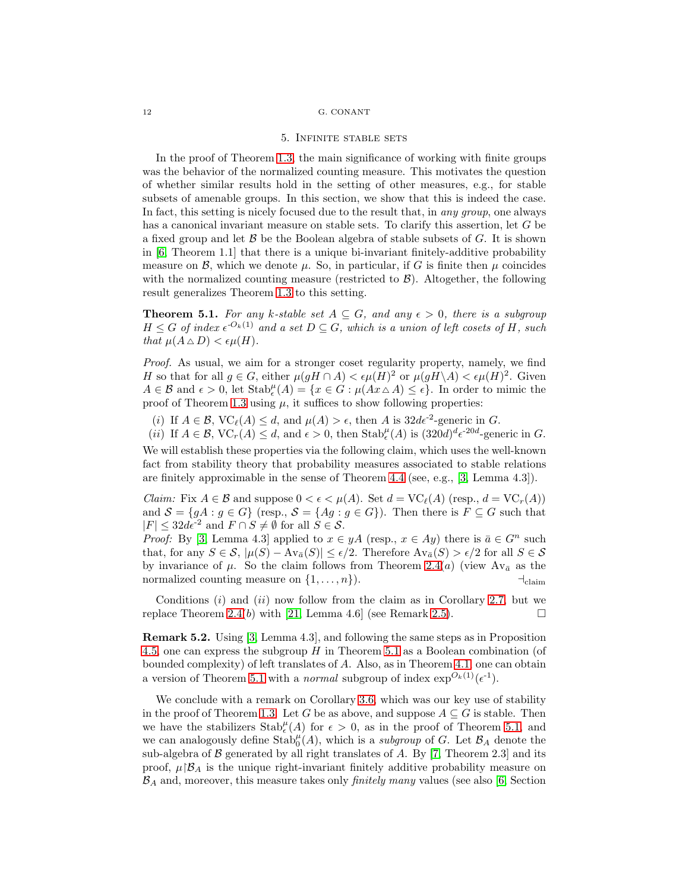#### 5. Infinite stable sets

In the proof of Theorem [1.3,](#page-1-2) the main significance of working with finite groups was the behavior of the normalized counting measure. This motivates the question of whether similar results hold in the setting of other measures, e.g., for stable subsets of amenable groups. In this section, we show that this is indeed the case. In fact, this setting is nicely focused due to the result that, in *any group*, one always has a canonical invariant measure on stable sets. To clarify this assertion, let G be a fixed group and let  $\beta$  be the Boolean algebra of stable subsets of G. It is shown in [\[6,](#page-12-20) Theorem 1.1] that there is a unique bi-invariant finitely-additive probability measure on  $\mathcal{B}$ , which we denote  $\mu$ . So, in particular, if G is finite then  $\mu$  coincides with the normalized counting measure (restricted to  $\mathcal{B}$ ). Altogether, the following result generalizes Theorem [1.3](#page-1-2) to this setting.

<span id="page-11-0"></span>**Theorem 5.1.** For any k-stable set  $A \subseteq G$ , and any  $\epsilon > 0$ , there is a subgroup  $H \leq G$  of index  $\epsilon^{-O_k(1)}$  and a set  $D \subseteq G$ , which is a union of left cosets of H, such *that*  $\mu(A \triangle D) < \epsilon \mu(H)$ *.* 

*Proof.* As usual, we aim for a stronger coset regularity property, namely, we find H so that for all  $g \in G$ , either  $\mu(gH \cap A) < \epsilon \mu(H)^2$  or  $\mu(gH \backslash A) < \epsilon \mu(H)^2$ . Given  $A \in \mathcal{B}$  and  $\epsilon > 0$ , let  $\text{Stab}_{\epsilon}^{\mu}(A) = \{x \in G : \mu(Ax \wedge A) \leq \epsilon\}.$  In order to mimic the proof of Theorem [1.3](#page-1-2) using  $\mu$ , it suffices to show following properties:

(i) If  $A \in \mathcal{B}$ ,  $VC_{\ell}(A) \leq d$ , and  $\mu(A) > \epsilon$ , then A is  $32d\epsilon^{-2}$ -generic in G.

(*ii*) If 
$$
A \in \mathcal{B}
$$
,  $VC_r(A) \leq d$ , and  $\epsilon > 0$ , then  $\text{Stab}_{\epsilon}^{\mu}(A)$  is  $(320d)^d \epsilon^{-20d}$ -generic in *G*.

We will establish these properties via the following claim, which uses the well-known fact from stability theory that probability measures associated to stable relations are finitely approximable in the sense of Theorem [4.4](#page-9-1) (see, e.g., [\[3,](#page-12-3) Lemma 4.3]).

*Claim:* Fix  $A \in \mathcal{B}$  and suppose  $0 < \epsilon < \mu(A)$ . Set  $d = \text{VC}_\ell(A)$  (resp.,  $d = \text{VC}_r(A)$ ) and  $S = \{gA : g \in G\}$  (resp.,  $S = \{Ag : g \in G\}$ ). Then there is  $F \subseteq G$  such that  $|F| \leq 32d\epsilon^{-2}$  and  $F \cap S \neq \emptyset$  for all  $S \in \mathcal{S}$ .

*Proof:* By [\[3,](#page-12-3) Lemma 4.3] applied to  $x \in yA$  (resp.,  $x \in Ay$ ) there is  $\bar{a} \in G^n$  such that, for any  $S \in \mathcal{S}$ ,  $|\mu(S) - \text{Av}_{\bar{a}}(S)| \leq \epsilon/2$ . Therefore  $\text{Av}_{\bar{a}}(S) > \epsilon/2$  for all  $S \in \mathcal{S}$ by invariance of  $\mu$ . So the claim follows from Theorem [2.4\(](#page-4-1)a) (view  $Av_{\bar{a}}$  as the normalized counting measure on  $\{1, \ldots, n\}$ .  $\qquad \qquad \qquad \qquad \vdots$ 

Conditions  $(i)$  and  $(ii)$  now follow from the claim as in Corollary [2.7,](#page-4-0) but we replace Theorem [2.4\(](#page-4-1)b) with [\[21,](#page-13-1) Lemma 4.6] (see Remark [2.5\)](#page-4-2).

Remark 5.2. Using [\[3,](#page-12-3) Lemma 4.3], and following the same steps as in Proposition [4.5,](#page-9-2) one can express the subgroup  $H$  in Theorem [5.1](#page-11-0) as a Boolean combination (of bounded complexity) of left translates of A. Also, as in Theorem [4.1,](#page-8-0) one can obtain a version of Theorem [5.1](#page-11-0) with a *normal* subgroup of index  $\exp^{O_k(1)}(\epsilon^{-1})$ .

We conclude with a remark on Corollary [3.6,](#page-6-0) which was our key use of stability in the proof of Theorem [1.3.](#page-1-2) Let G be as above, and suppose  $A \subseteq G$  is stable. Then we have the stabilizers  $\text{Stab}_{\epsilon}^{\mu}(A)$  for  $\epsilon > 0$ , as in the proof of Theorem [5.1,](#page-11-0) and we can analogously define  $\operatorname{Stab}^{\mu}_{0}(A)$ , which is a *subgroup* of G. Let  $\mathcal{B}_{A}$  denote the sub-algebra of  $\beta$  generated by all right translates of  $A$ . By [\[7,](#page-12-8) Theorem 2.3] and its proof,  $\mu$ <sub>B</sub>A is the unique right-invariant finitely additive probability measure on B<sup>A</sup> and, moreover, this measure takes only *finitely many* values (see also [\[6,](#page-12-20) Section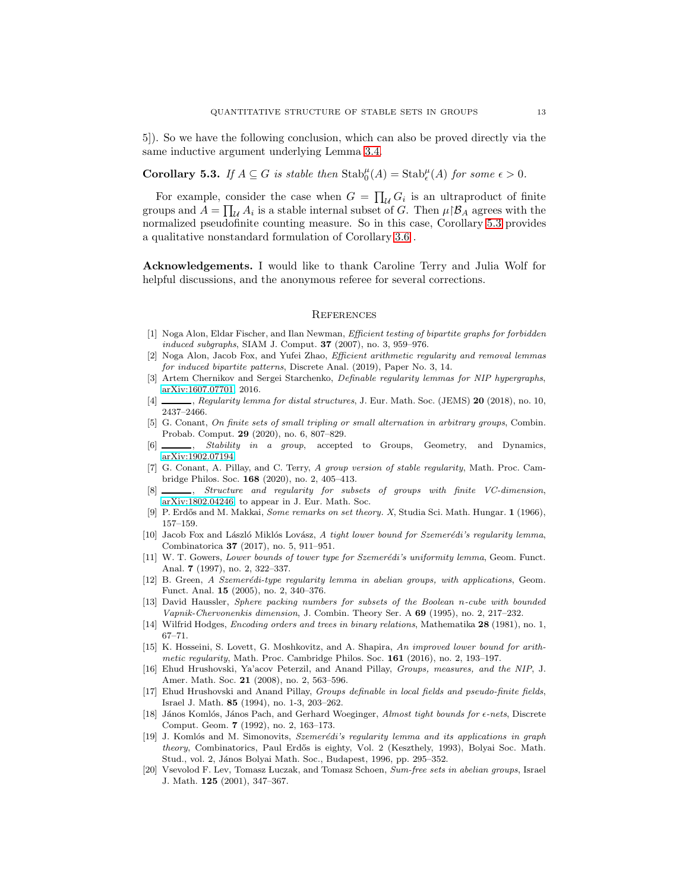5]). So we have the following conclusion, which can also be proved directly via the same inductive argument underlying Lemma [3.4.](#page-5-0)

<span id="page-12-14"></span>**Corollary 5.3.** *If*  $A \subseteq G$  *is stable then*  $\text{Stab}^{\mu}_{0}(A) = \text{Stab}^{\mu}_{\epsilon}(A)$  *for some*  $\epsilon > 0$ *.* 

For example, consider the case when  $G = \prod_{\mathcal{U}} G_i$  is an ultraproduct of finite groups and  $A = \prod_{\mathcal{U}} A_i$  is a stable internal subset of G. Then  $\mu | \mathcal{B}_A$  agrees with the normalized pseudofinite counting measure. So in this case, Corollary [5.3](#page-12-14) provides a qualitative nonstandard formulation of Corollary [3.6](#page-6-0) .

Acknowledgements. I would like to thank Caroline Terry and Julia Wolf for helpful discussions, and the anonymous referee for several corrections.

### **REFERENCES**

- <span id="page-12-5"></span>[1] Noga Alon, Eldar Fischer, and Ilan Newman, Efficient testing of bipartite graphs for forbidden induced subgraphs, SIAM J. Comput.  $37$  (2007), no. 3, 959–976.
- <span id="page-12-7"></span>[2] Noga Alon, Jacob Fox, and Yufei Zhao, Efficient arithmetic regularity and removal lemmas for induced bipartite patterns, Discrete Anal. (2019), Paper No. 3, 14.
- <span id="page-12-3"></span>[3] Artem Chernikov and Sergei Starchenko, Definable regularity lemmas for NIP hypergraphs, [arXiv:1607.07701,](http://arxiv.org/abs/1607.07701) 2016.
- <span id="page-12-16"></span><span id="page-12-4"></span>[4] , Regularity lemma for distal structures, J. Eur. Math. Soc. (JEMS) 20 (2018), no. 10, 2437–2466.
- [5] G. Conant, On finite sets of small tripling or small alternation in arbitrary groups, Combin. Probab. Comput. 29 (2020), no. 6, 807–829.
- <span id="page-12-20"></span><span id="page-12-8"></span>[6]  $\qquad \qquad$ , *Stability in a group*, accepted to Groups, Geometry, and Dynamics, [arXiv:1902.07194.](http://arxiv.org/abs/1902.07194)
- [7] G. Conant, A. Pillay, and C. Terry, A group version of stable regularity, Math. Proc. Cambridge Philos. Soc. 168 (2020), no. 2, 405–413.
- <span id="page-12-9"></span>[8] \_\_\_\_, Structure and regularity for subsets of groups with finite VC-dimension, [arXiv:1802.04246,](http://arxiv.org/abs/1802.04246) to appear in J. Eur. Math. Soc.
- <span id="page-12-10"></span><span id="page-12-1"></span>[9] P. Erdős and M. Makkai, Some remarks on set theory. X, Studia Sci. Math. Hungar. 1 (1966), 157–159.
- [10] Jacob Fox and László Miklós Lovász, A tight lower bound for Szemerédi's regularity lemma, Combinatorica 37 (2017), no. 5, 911–951.
- <span id="page-12-2"></span>[11] W. T. Gowers, Lower bounds of tower type for Szemerédi's uniformity lemma, Geom. Funct. Anal. 7 (1997), no. 2, 322–337.
- <span id="page-12-6"></span>[12] B. Green, A Szemerédi-type regularity lemma in abelian groups, with applications, Geom. Funct. Anal. 15 (2005), no. 2, 340–376.
- <span id="page-12-17"></span>[13] David Haussler, Sphere packing numbers for subsets of the Boolean n-cube with bounded Vapnik-Chervonenkis dimension, J. Combin. Theory Ser. A 69 (1995), no. 2, 217–232.
- <span id="page-12-19"></span><span id="page-12-11"></span>[14] Wilfrid Hodges, *Encoding orders and trees in binary relations*, Mathematika **28** (1981), no. 1, 67–71.
- [15] K. Hosseini, S. Lovett, G. Moshkovitz, and A. Shapira, An improved lower bound for arithmetic regularity, Math. Proc. Cambridge Philos. Soc.  $161$  (2016), no. 2, 193–197.
- <span id="page-12-13"></span>[16] Ehud Hrushovski, Ya'acov Peterzil, and Anand Pillay, Groups, measures, and the NIP, J. Amer. Math. Soc. 21 (2008), no. 2, 563–596.
- <span id="page-12-15"></span>[17] Ehud Hrushovski and Anand Pillay, Groups definable in local fields and pseudo-finite fields, Israel J. Math. 85 (1994), no. 1-3, 203–262.
- <span id="page-12-18"></span>[18] János Komlós, János Pach, and Gerhard Woeginger, Almost tight bounds for  $\epsilon$ -nets, Discrete Comput. Geom. 7 (1992), no. 2, 163–173.
- <span id="page-12-0"></span>[19] J. Komlós and M. Simonovits, Szemerédi's regularity lemma and its applications in graph theory, Combinatorics, Paul Erdős is eighty, Vol. 2 (Keszthely, 1993), Bolyai Soc. Math. Stud., vol. 2, János Bolyai Math. Soc., Budapest, 1996, pp. 295-352.
- <span id="page-12-12"></span>[20] Vsevolod F. Lev, Tomasz Luczak, and Tomasz Schoen, Sum-free sets in abelian groups, Israel J. Math. 125 (2001), 347–367.